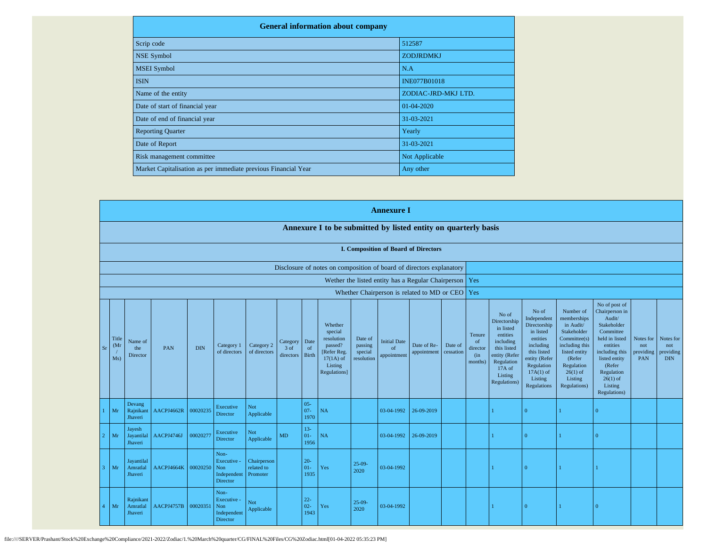| <b>General information about company</b>                       |                     |
|----------------------------------------------------------------|---------------------|
| Scrip code                                                     | 512587              |
| NSE Symbol                                                     | <b>ZODJRDMKJ</b>    |
| <b>MSEI</b> Symbol                                             | N.A                 |
| <b>ISIN</b>                                                    | <b>INE077B01018</b> |
| Name of the entity                                             | ZODIAC-JRD-MKJ LTD. |
| Date of start of financial year                                | 01-04-2020          |
| Date of end of financial year                                  | 31-03-2021          |
| <b>Reporting Quarter</b>                                       | Yearly              |
| Date of Report                                                 | 31-03-2021          |
| Risk management committee                                      | Not Applicable      |
| Market Capitalisation as per immediate previous Financial Year | Any other           |

|                         |                      |                                   |            |            |                                                       |                                       |                               |                          |                                                                                                      |                                             | <b>Annexure I</b>                        |                                                    |                      |                                                       |                                                                                                                                                          |                                                                                                                                                                   |                                                                                                                                                                          |                                                                                                                                                                                                         |                                      |                                             |
|-------------------------|----------------------|-----------------------------------|------------|------------|-------------------------------------------------------|---------------------------------------|-------------------------------|--------------------------|------------------------------------------------------------------------------------------------------|---------------------------------------------|------------------------------------------|----------------------------------------------------|----------------------|-------------------------------------------------------|----------------------------------------------------------------------------------------------------------------------------------------------------------|-------------------------------------------------------------------------------------------------------------------------------------------------------------------|--------------------------------------------------------------------------------------------------------------------------------------------------------------------------|---------------------------------------------------------------------------------------------------------------------------------------------------------------------------------------------------------|--------------------------------------|---------------------------------------------|
|                         |                      |                                   |            |            |                                                       |                                       |                               |                          | Annexure I to be submitted by listed entity on quarterly basis                                       |                                             |                                          |                                                    |                      |                                                       |                                                                                                                                                          |                                                                                                                                                                   |                                                                                                                                                                          |                                                                                                                                                                                                         |                                      |                                             |
|                         |                      |                                   |            |            |                                                       |                                       |                               |                          |                                                                                                      |                                             |                                          | <b>I. Composition of Board of Directors</b>        |                      |                                                       |                                                                                                                                                          |                                                                                                                                                                   |                                                                                                                                                                          |                                                                                                                                                                                                         |                                      |                                             |
|                         |                      |                                   |            |            |                                                       |                                       |                               |                          | Disclosure of notes on composition of board of directors explanatory                                 |                                             |                                          |                                                    |                      |                                                       |                                                                                                                                                          |                                                                                                                                                                   |                                                                                                                                                                          |                                                                                                                                                                                                         |                                      |                                             |
|                         |                      |                                   |            |            |                                                       |                                       |                               |                          |                                                                                                      |                                             |                                          | Wether the listed entity has a Regular Chairperson |                      | Yes                                                   |                                                                                                                                                          |                                                                                                                                                                   |                                                                                                                                                                          |                                                                                                                                                                                                         |                                      |                                             |
|                         |                      |                                   |            |            |                                                       |                                       |                               |                          |                                                                                                      |                                             |                                          | Whether Chairperson is related to MD or CEO        |                      | Yes                                                   |                                                                                                                                                          |                                                                                                                                                                   |                                                                                                                                                                          |                                                                                                                                                                                                         |                                      |                                             |
| S <sub>I</sub>          | Title<br>(Mr)<br>Ms) | Name of<br>the<br>Director        | PAN        | <b>DIN</b> | Category 1<br>of directors                            | Category 2<br>of directors            | Category<br>3 of<br>directors | Date<br>of<br>Birth      | Whether<br>special<br>resolution<br>passed?<br>[Refer Reg.<br>$17(1A)$ of<br>Listing<br>Regulations] | Date of<br>passing<br>special<br>resolution | <b>Initial Date</b><br>of<br>appointment | Date of Re-<br>appointment                         | Date of<br>cessation | Tenure<br><sub>of</sub><br>director<br>(in<br>months) | No of<br>Directorship<br>in listed<br>entities<br>including<br>this listed<br>entity (Refer<br>Regulation<br>$17A$ of<br>Listing<br><b>Regulations</b> ) | No of<br>Independent<br>Directorship<br>in listed<br>entities<br>including<br>this listed<br>entity (Refer<br>Regulation<br>$17A(1)$ of<br>Listing<br>Regulations | Number of<br>memberships<br>in Audit/<br>Stakeholder<br>Committee(s)<br>including this<br>listed entity<br>(Refer<br>Regulation<br>$26(1)$ of<br>Listing<br>Regulations) | No of post of<br>Chairperson in<br>Audit/<br>Stakeholder<br>Committee<br>held in listed<br>entities<br>including this<br>listed entity<br>(Refer<br>Regulation<br>$26(1)$ of<br>Listing<br>Regulations) | Notes for<br>not<br>providing<br>PAN | Notes for<br>not<br>providing<br><b>DIN</b> |
|                         | Mr                   | Devang<br>Rajnikant<br>Jhaveri    | AACPJ4662R | 00020235   | Executive<br>Director                                 | <b>Not</b><br>Applicable              |                               | $05 -$<br>$07 -$<br>1970 | NA                                                                                                   |                                             | 03-04-1992                               | 26-09-2019                                         |                      |                                                       |                                                                                                                                                          | $\Omega$                                                                                                                                                          |                                                                                                                                                                          | $\Omega$                                                                                                                                                                                                |                                      |                                             |
|                         | Mr                   | Jayesh<br>Jayantilal<br>Jhaveri   | AACPJ4746J | 00020277   | Executive<br>Director                                 | <b>Not</b><br>Applicable              | <b>MD</b>                     | $13 -$<br>$01-$<br>1956  | NA                                                                                                   |                                             | 03-04-1992                               | 26-09-2019                                         |                      |                                                       |                                                                                                                                                          | $\Omega$                                                                                                                                                          |                                                                                                                                                                          | $\Omega$                                                                                                                                                                                                |                                      |                                             |
| $\overline{\mathbf{3}}$ | Mr                   | Jayantilal<br>Amratlal<br>Jhaveri | AACPJ4664K | 00020250   | Non-<br>Executive -<br>Non<br>Independent<br>Director | Chairperson<br>related to<br>Promoter |                               | $20 -$<br>$01-$<br>1935  | Yes                                                                                                  | $25-09-$<br>2020                            | 03-04-1992                               |                                                    |                      |                                                       |                                                                                                                                                          | $\Omega$                                                                                                                                                          |                                                                                                                                                                          |                                                                                                                                                                                                         |                                      |                                             |
|                         | Mr                   | Rajnikant<br>Amratlal<br>Jhaveri  | AACPJ4757B | 00020351   | Non-<br>Executive -<br>Non<br>Independent<br>Director | <b>Not</b><br>Applicable              |                               | $22 -$<br>$02 -$<br>1943 | Yes                                                                                                  | $25-09-$<br>2020                            | 03-04-1992                               |                                                    |                      |                                                       |                                                                                                                                                          | $\overline{0}$                                                                                                                                                    | $\mathbf{1}$                                                                                                                                                             | $\Omega$                                                                                                                                                                                                |                                      |                                             |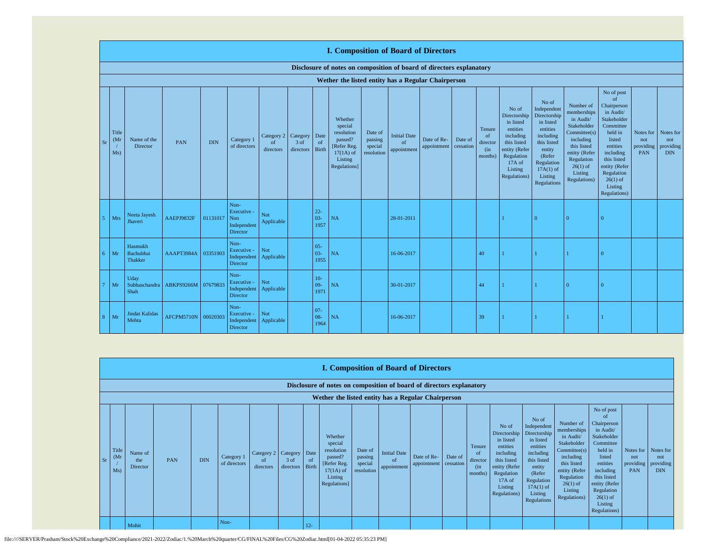|    |                                   |                                        |            |            |                                                       |                                        |                   |                            | <b>I. Composition of Board of Directors</b>                                                          |                                             |                                          |                            |                      |                                                       |                                                                                                                                                |                                                                                                                                                                      |                                                                                                                                                                          |                                                                                                                                                                                                               |                                      |                                             |
|----|-----------------------------------|----------------------------------------|------------|------------|-------------------------------------------------------|----------------------------------------|-------------------|----------------------------|------------------------------------------------------------------------------------------------------|---------------------------------------------|------------------------------------------|----------------------------|----------------------|-------------------------------------------------------|------------------------------------------------------------------------------------------------------------------------------------------------|----------------------------------------------------------------------------------------------------------------------------------------------------------------------|--------------------------------------------------------------------------------------------------------------------------------------------------------------------------|---------------------------------------------------------------------------------------------------------------------------------------------------------------------------------------------------------------|--------------------------------------|---------------------------------------------|
|    |                                   |                                        |            |            |                                                       |                                        |                   |                            | Disclosure of notes on composition of board of directors explanatory                                 |                                             |                                          |                            |                      |                                                       |                                                                                                                                                |                                                                                                                                                                      |                                                                                                                                                                          |                                                                                                                                                                                                               |                                      |                                             |
|    |                                   |                                        |            |            |                                                       |                                        |                   |                            | Wether the listed entity has a Regular Chairperson                                                   |                                             |                                          |                            |                      |                                                       |                                                                                                                                                |                                                                                                                                                                      |                                                                                                                                                                          |                                                                                                                                                                                                               |                                      |                                             |
| Sr | Title<br>(M <sub>1</sub> )<br>Ms) | Name of the<br>Director                | PAN        | <b>DIN</b> | Category 1<br>of directors                            | Category 2 Category<br>of<br>directors | 3 of<br>directors | Date<br>of<br><b>Birth</b> | Whether<br>special<br>resolution<br>passed?<br>[Refer Reg.<br>$17(1A)$ of<br>Listing<br>Regulations] | Date of<br>passing<br>special<br>resolution | <b>Initial Date</b><br>of<br>appointment | Date of Re-<br>appointment | Date of<br>cessation | Tenure<br><sub>of</sub><br>director<br>(in<br>months) | No of<br>Directorship<br>in listed<br>entities<br>including<br>this listed<br>entity (Refer<br>Regulation<br>17A of<br>Listing<br>Regulations) | No of<br>Independent<br>Directorship<br>in listed<br>entities<br>including<br>this listed<br>entity<br>(Refer<br>Regulation<br>$17A(1)$ of<br>Listing<br>Regulations | Number of<br>memberships<br>in Audit/<br>Stakeholder<br>Committee(s)<br>including<br>this listed<br>entity (Refer<br>Regulation<br>$26(1)$ of<br>Listing<br>Regulations) | No of post<br>of<br>Chairperson<br>in Audit/<br>Stakeholder<br>Committee<br>held in<br>listed<br>entities<br>including<br>this listed<br>entity (Refer<br>Regulation<br>$26(1)$ of<br>Listing<br>Regulations) | Notes for<br>not<br>providing<br>PAN | Notes for<br>not<br>providing<br><b>DIN</b> |
|    | Mrs                               | Neeta Jayesh<br>Jhaveri                | AAEPJ9832F | 01131017   | Non-<br>Executive -<br>Non<br>Independent<br>Director | Not<br>Applicable                      |                   | $22 -$<br>$03 -$<br>1957   | NA                                                                                                   |                                             | 28-01-2011                               |                            |                      |                                                       |                                                                                                                                                | $\Omega$                                                                                                                                                             | $\Omega$                                                                                                                                                                 |                                                                                                                                                                                                               |                                      |                                             |
| б. | Mr                                | Hasmukh<br>Bachubhai<br><b>Thakker</b> | AAAPT3984A | 03351903   | Non-<br>Executive -<br>Independent<br>Director        | Not<br>Applicable                      |                   | $05 -$<br>$03 -$<br>1955   | NA                                                                                                   |                                             | 16-06-2017                               |                            |                      | 40                                                    |                                                                                                                                                |                                                                                                                                                                      |                                                                                                                                                                          | $\Omega$                                                                                                                                                                                                      |                                      |                                             |
|    | Mr                                | Uday<br>Subhaschandra<br>Shah          | ABKPS9266M | 07679833   | Non-<br>Executive -<br>Independent<br>Director        | Not<br>Applicable                      |                   | $10-$<br>$09 -$<br>1971    | NA                                                                                                   |                                             | 30-01-2017                               |                            |                      | 44                                                    |                                                                                                                                                |                                                                                                                                                                      | $\Omega$                                                                                                                                                                 | $\Omega$                                                                                                                                                                                                      |                                      |                                             |
| 8  | Mr                                | <b>Jindat Kalidas</b><br>Mehta         | AFCPM5710N | 00020303   | Non-<br>Executive -<br>Independent<br>Director        | Not<br>Applicable                      |                   | $07 -$<br>$08 -$<br>1964   | NA                                                                                                   |                                             | 16-06-2017                               |                            |                      | 39                                                    |                                                                                                                                                |                                                                                                                                                                      |                                                                                                                                                                          |                                                                                                                                                                                                               |                                      |                                             |

|      |                                   |                                                                      |     |            |                            |                                        |                         |             |                                                                                                       |                                             |                                                  | <b>I. Composition of Board of Directors</b> |                      |                                                        |                                                                                                                                                |                                                                                                                                                                      |                                                                                                                                                                          |                                                                                                                                                                                                                          |                                             |                                             |
|------|-----------------------------------|----------------------------------------------------------------------|-----|------------|----------------------------|----------------------------------------|-------------------------|-------------|-------------------------------------------------------------------------------------------------------|---------------------------------------------|--------------------------------------------------|---------------------------------------------|----------------------|--------------------------------------------------------|------------------------------------------------------------------------------------------------------------------------------------------------|----------------------------------------------------------------------------------------------------------------------------------------------------------------------|--------------------------------------------------------------------------------------------------------------------------------------------------------------------------|--------------------------------------------------------------------------------------------------------------------------------------------------------------------------------------------------------------------------|---------------------------------------------|---------------------------------------------|
|      |                                   | Disclosure of notes on composition of board of directors explanatory |     |            |                            |                                        |                         |             |                                                                                                       |                                             |                                                  |                                             |                      |                                                        |                                                                                                                                                |                                                                                                                                                                      |                                                                                                                                                                          |                                                                                                                                                                                                                          |                                             |                                             |
|      |                                   | Wether the listed entity has a Regular Chairperson                   |     |            |                            |                                        |                         |             |                                                                                                       |                                             |                                                  |                                             |                      |                                                        |                                                                                                                                                |                                                                                                                                                                      |                                                                                                                                                                          |                                                                                                                                                                                                                          |                                             |                                             |
| - Sr | Title<br>(M <sub>I</sub> )<br>Ms) | Name of<br>the<br>Director                                           | PAN | <b>DIN</b> | Category 1<br>of directors | Category 2 Category<br>of<br>directors | 3 of<br>directors Birth | Date<br>-of | Whether<br>special<br>resolution<br>passed?<br>[Refer Reg.]<br>$17(1A)$ of<br>Listing<br>Regulations] | Date of<br>passing<br>special<br>resolution | <b>Initial Date</b><br>$\alpha$ f<br>appointment | Date of Re-<br>appointment                  | Date of<br>cessation | Tenure<br><sup>of</sup><br>director<br>(in)<br>months) | No of<br>Directorship<br>in listed<br>entities<br>including<br>this listed<br>entity (Refer<br>Regulation<br>17A of<br>Listing<br>Regulations) | No of<br>Independent<br>Directorship<br>in listed<br>entities<br>including<br>this listed<br>entity<br>(Refer<br>Regulation<br>$17A(1)$ of<br>Listing<br>Regulations | Number of<br>memberships<br>in Audit/<br>Stakeholder<br>Committee(s)<br>including<br>this listed<br>entity (Refer<br>Regulation<br>$26(1)$ of<br>Listing<br>Regulations) | No of post<br><sup>of</sup><br>Chairperson<br>in Audit/<br>Stakeholder<br>Committee<br>held in<br>listed<br>entities<br>including<br>this listed<br>entity (Refer<br>Regulation<br>$26(1)$ of<br>Listing<br>Regulations) | Notes for<br>not<br>providing<br><b>PAN</b> | Notes for<br>not<br>providing<br><b>DIN</b> |
|      |                                   | Mohit                                                                |     |            | Non-                       |                                        |                         | $12 -$      |                                                                                                       |                                             |                                                  |                                             |                      |                                                        |                                                                                                                                                |                                                                                                                                                                      |                                                                                                                                                                          |                                                                                                                                                                                                                          |                                             |                                             |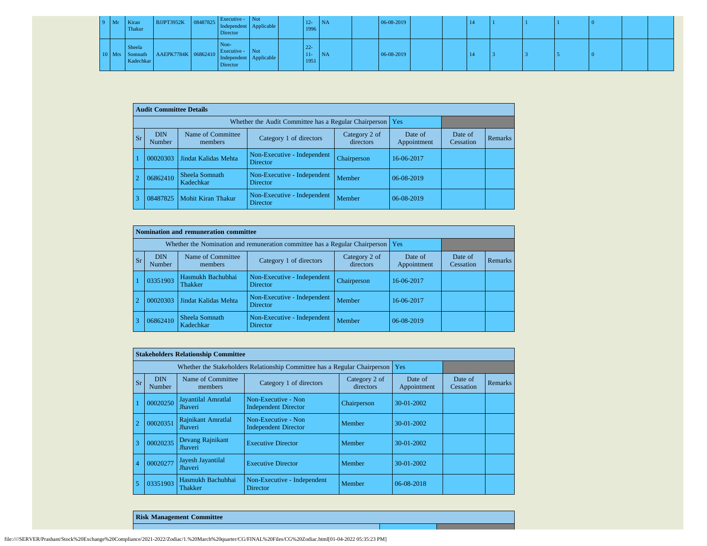| $9$ Mr | Kiran<br>Thakur     | RUPT3952K 08487825 Independent Applicable              | Executive - Not<br>Director |  | $12 -$<br>1996          | NA        | 06-08-2019 |  |  |  |  |  |
|--------|---------------------|--------------------------------------------------------|-----------------------------|--|-------------------------|-----------|------------|--|--|--|--|--|
|        | Sheela<br>Kadechkar | Mrs Somnath AAEPK7784K 06862410 Independent Applicable | Non-<br>Director            |  | $22 -$<br>$11-$<br>1951 | <b>NA</b> | 06-08-2019 |  |  |  |  |  |

|                | <b>Audit Committee Details</b> |                              |                                                       |                            |                        |                      |                |
|----------------|--------------------------------|------------------------------|-------------------------------------------------------|----------------------------|------------------------|----------------------|----------------|
|                |                                |                              | Whether the Audit Committee has a Regular Chairperson |                            | Yes                    |                      |                |
| <b>Sr</b>      | <b>DIN</b><br>Number           | Name of Committee<br>members | Category 1 of directors                               | Category 2 of<br>directors | Date of<br>Appointment | Date of<br>Cessation | <b>Remarks</b> |
|                | 00020303                       | Jindat Kalidas Mehta         | Non-Executive - Independent<br>Director               | Chairperson                | 16-06-2017             |                      |                |
| $\overline{2}$ | 06862410                       | Sheela Somnath<br>Kadechkar  | Non-Executive - Independent<br><b>Director</b>        | Member                     | 06-08-2019             |                      |                |
| 3              | 08487825                       | Mohit Kiran Thakur           | Non-Executive - Independent<br><b>Director</b>        | Member                     | 06-08-2019             |                      |                |

|            |                      | Nomination and remuneration committee |                                                                             |                            |                        |                      |         |
|------------|----------------------|---------------------------------------|-----------------------------------------------------------------------------|----------------------------|------------------------|----------------------|---------|
|            |                      |                                       | Whether the Nomination and remuneration committee has a Regular Chairperson |                            | Yes                    |                      |         |
| <b>Sr</b>  | <b>DIN</b><br>Number | Name of Committee<br>members          | Category 1 of directors                                                     | Category 2 of<br>directors | Date of<br>Appointment | Date of<br>Cessation | Remarks |
|            | 03351903             | Hasmukh Bachubhai<br>Thakker          | Non-Executive - Independent<br><b>Director</b>                              | Chairperson                | 16-06-2017             |                      |         |
| $\sqrt{2}$ | 00020303             | Jindat Kalidas Mehta                  | Non-Executive - Independent<br><b>Director</b>                              | Member                     | 16-06-2017             |                      |         |
|            | 06862410             | Sheela Somnath<br>Kadechkar           | Non-Executive - Independent<br><b>Director</b>                              | Member                     | 06-08-2019             |                      |         |

|                |                      | <b>Stakeholders Relationship Committee</b> |                                                                           |                            |                        |                      |                |
|----------------|----------------------|--------------------------------------------|---------------------------------------------------------------------------|----------------------------|------------------------|----------------------|----------------|
|                |                      |                                            | Whether the Stakeholders Relationship Committee has a Regular Chairperson |                            | Yes                    |                      |                |
| Sr             | <b>DIN</b><br>Number | Name of Committee<br>members               | Category 1 of directors                                                   | Category 2 of<br>directors | Date of<br>Appointment | Date of<br>Cessation | <b>Remarks</b> |
|                | 00020250             | Jayantilal Amratlal<br>Jhaveri             | Non-Executive - Non<br><b>Independent Director</b>                        | Chairperson                | $30-01-2002$           |                      |                |
|                | 00020351             | Rajnikant Amratlal<br>Jhaveri              | Non-Executive - Non<br><b>Independent Director</b>                        | Member                     | $30-01-2002$           |                      |                |
| 3              | 00020235             | Devang Rajnikant<br>Jhaveri                | <b>Executive Director</b>                                                 | Member                     | $30-01-2002$           |                      |                |
| $\overline{4}$ | 00020277             | Jayesh Jayantilal<br><b>Jhaveri</b>        | <b>Executive Director</b>                                                 | Member                     | 30-01-2002             |                      |                |
| 5              | 03351903             | Hasmukh Bachubhai<br>Thakker               | Non-Executive - Independent<br>Director                                   | Member                     | 06-08-2018             |                      |                |

**Risk Management Committee**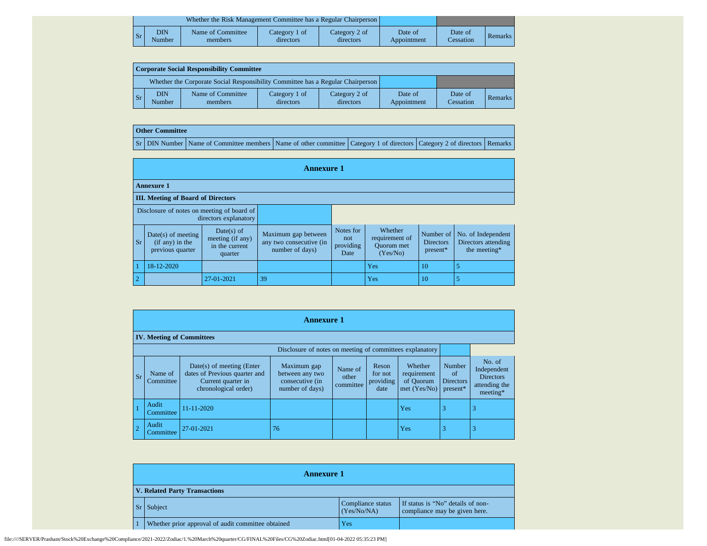|    |               | Whether the Risk Management Committee has a Regular Chairperson |                            |                            |                        |                      |         |
|----|---------------|-----------------------------------------------------------------|----------------------------|----------------------------|------------------------|----------------------|---------|
| Sr | DIN<br>Number | Name of Committee<br>members                                    | Category 1 of<br>directors | Category 2 of<br>directors | Date of<br>Appointment | Date of<br>Cessation | Remarks |

| Corporate Social Responsibility Committee |                      |                                                                                 |                            |                            |                        |                      |         |  |  |  |
|-------------------------------------------|----------------------|---------------------------------------------------------------------------------|----------------------------|----------------------------|------------------------|----------------------|---------|--|--|--|
|                                           |                      | Whether the Corporate Social Responsibility Committee has a Regular Chairperson |                            |                            |                        |                      |         |  |  |  |
| l Sr                                      | <b>DIN</b><br>Number | Name of Committee<br>members                                                    | Category 1 of<br>directors | Category 2 of<br>directors | Date of<br>Appointment | Date of<br>Cessation | Remarks |  |  |  |

## **Other Committee**

Sr DIN Number Name of Committee members Name of other committee Category 1 of directors Category 2 of directors Remarks

|                | <b>Annexure 1</b>                                             |                                                             |                                                                   |                                       |                                                            |                                             |                                                           |  |  |  |  |
|----------------|---------------------------------------------------------------|-------------------------------------------------------------|-------------------------------------------------------------------|---------------------------------------|------------------------------------------------------------|---------------------------------------------|-----------------------------------------------------------|--|--|--|--|
|                | <b>Annexure 1</b>                                             |                                                             |                                                                   |                                       |                                                            |                                             |                                                           |  |  |  |  |
|                | <b>III.</b> Meeting of Board of Directors                     |                                                             |                                                                   |                                       |                                                            |                                             |                                                           |  |  |  |  |
|                | Disclosure of notes on meeting of board of                    | directors explanatory                                       |                                                                   |                                       |                                                            |                                             |                                                           |  |  |  |  |
| <b>Sr</b>      | $Date(s)$ of meeting<br>$(if any)$ in the<br>previous quarter | Date(s) of<br>meeting (if any)<br>in the current<br>quarter | Maximum gap between<br>any two consecutive (in<br>number of days) | Notes for<br>not<br>providing<br>Date | Whether<br>requirement of<br><b>Ouorum</b> met<br>(Yes/No) | Number of<br><b>Directors</b><br>$present*$ | No. of Independent<br>Directors attending<br>the meeting* |  |  |  |  |
|                | 18-12-2020                                                    |                                                             |                                                                   |                                       | Yes                                                        | 10                                          |                                                           |  |  |  |  |
| $\overline{2}$ |                                                               | 27-01-2021                                                  | 39                                                                |                                       | Yes                                                        | 10                                          |                                                           |  |  |  |  |

|           | <b>Annexure 1</b>                |                                                                                                            |                                                                      |                               |                                       |                                                     |                                                     |                                                                          |  |  |
|-----------|----------------------------------|------------------------------------------------------------------------------------------------------------|----------------------------------------------------------------------|-------------------------------|---------------------------------------|-----------------------------------------------------|-----------------------------------------------------|--------------------------------------------------------------------------|--|--|
|           | <b>IV. Meeting of Committees</b> |                                                                                                            |                                                                      |                               |                                       |                                                     |                                                     |                                                                          |  |  |
|           |                                  |                                                                                                            | Disclosure of notes on meeting of committees explanatory             |                               |                                       |                                                     |                                                     |                                                                          |  |  |
| <b>Sr</b> | Name of<br>Committee             | $Date(s)$ of meeting (Enter<br>dates of Previous quarter and<br>Current quarter in<br>chronological order) | Maximum gap<br>between any two<br>consecutive (in<br>number of days) | Name of<br>other<br>committee | Reson<br>for not<br>providing<br>date | Whether<br>requirement<br>of Quorum<br>met (Yes/No) | <b>Number</b><br>of<br><b>Directors</b><br>present* | No. of<br>Independent<br><b>Directors</b><br>attending the<br>$meeting*$ |  |  |
|           | Audit<br>Committee               | 11-11-2020                                                                                                 |                                                                      |                               |                                       | Yes                                                 | 3                                                   | 3                                                                        |  |  |
|           | Audit<br>Committee               | 27-01-2021                                                                                                 | 76                                                                   |                               |                                       | Yes                                                 | 3                                                   | 3                                                                        |  |  |

| <b>Annexure 1</b>                                  |                                  |                                                                    |  |
|----------------------------------------------------|----------------------------------|--------------------------------------------------------------------|--|
| <b>V. Related Party Transactions</b>               |                                  |                                                                    |  |
| $Sr$ Subject                                       | Compliance status<br>(Yes/No/NA) | If status is "No" details of non-<br>compliance may be given here. |  |
| Whether prior approval of audit committee obtained | Yes                              |                                                                    |  |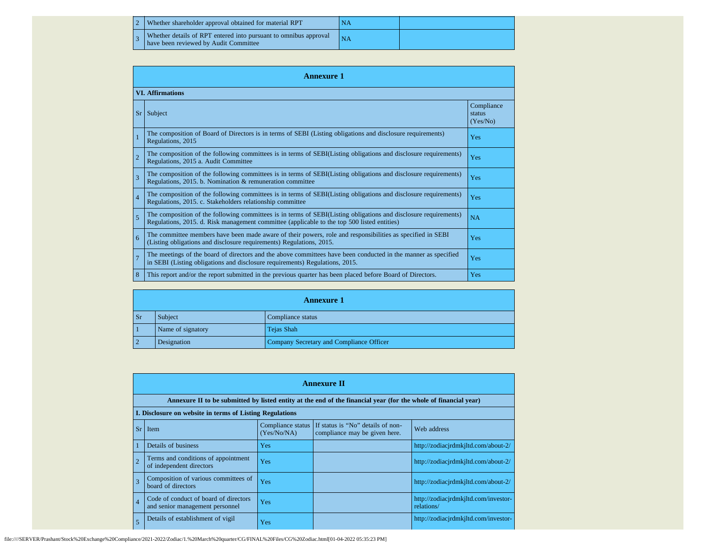| 2 Whether shareholder approval obtained for material RPT                                                         |  |
|------------------------------------------------------------------------------------------------------------------|--|
| $\sim$ Whether details of RPT entered into pursuant to omnibus approval<br>have been reviewed by Audit Committee |  |

|                | <b>Annexure 1</b>                                                                                                                                                                                               |                                  |  |  |  |
|----------------|-----------------------------------------------------------------------------------------------------------------------------------------------------------------------------------------------------------------|----------------------------------|--|--|--|
|                | <b>VI.</b> Affirmations                                                                                                                                                                                         |                                  |  |  |  |
| <b>Sr</b>      | Subject                                                                                                                                                                                                         | Compliance<br>status<br>(Yes/No) |  |  |  |
| $\overline{1}$ | The composition of Board of Directors is in terms of SEBI (Listing obligations and disclosure requirements)<br>Regulations, 2015                                                                                | Yes                              |  |  |  |
| $\overline{2}$ | The composition of the following committees is in terms of SEBI(Listing obligations and disclosure requirements)<br>Regulations, 2015 a. Audit Committee                                                        | Yes                              |  |  |  |
| $\overline{3}$ | The composition of the following committees is in terms of SEBI(Listing obligations and disclosure requirements)<br>Regulations, 2015. b. Nomination & remuneration committee                                   | Yes                              |  |  |  |
| $\overline{4}$ | The composition of the following committees is in terms of SEBI(Listing obligations and disclosure requirements)<br>Regulations, 2015. c. Stakeholders relationship committee                                   | Yes                              |  |  |  |
| 5              | The composition of the following committees is in terms of SEBI(Listing obligations and disclosure requirements)<br>Regulations, 2015. d. Risk management committee (applicable to the top 500 listed entities) | NA                               |  |  |  |
| 6              | The committee members have been made aware of their powers, role and responsibilities as specified in SEBI<br>(Listing obligations and disclosure requirements) Regulations, 2015.                              | Yes                              |  |  |  |
| $\overline{7}$ | The meetings of the board of directors and the above committees have been conducted in the manner as specified<br>in SEBI (Listing obligations and disclosure requirements) Regulations, 2015.                  | Yes                              |  |  |  |
| 8              | This report and/or the report submitted in the previous quarter has been placed before Board of Directors.                                                                                                      | Yes                              |  |  |  |

|                | <b>Annexure 1</b>            |                                          |  |  |  |
|----------------|------------------------------|------------------------------------------|--|--|--|
| <b>Sr</b>      | Subject<br>Compliance status |                                          |  |  |  |
| $\blacksquare$ | Name of signatory            | Tejas Shah                               |  |  |  |
| $\vert$ 2      | Designation                  | Company Secretary and Compliance Officer |  |  |  |

|                | <b>Annexure II</b>                                                       |                                  |                                                                                                                 |                                                    |  |  |  |
|----------------|--------------------------------------------------------------------------|----------------------------------|-----------------------------------------------------------------------------------------------------------------|----------------------------------------------------|--|--|--|
|                |                                                                          |                                  | Annexure II to be submitted by listed entity at the end of the financial year (for the whole of financial year) |                                                    |  |  |  |
|                | I. Disclosure on website in terms of Listing Regulations                 |                                  |                                                                                                                 |                                                    |  |  |  |
| <b>Sr</b>      | Item                                                                     | Compliance status<br>(Yes/No/NA) | If status is "No" details of non-<br>compliance may be given here.                                              | Web address                                        |  |  |  |
|                | Details of business                                                      | Yes                              |                                                                                                                 | http://zodiacjrdmkjltd.com/about-2/                |  |  |  |
|                | Terms and conditions of appointment<br>of independent directors          | Yes                              |                                                                                                                 | http://zodiacjrdmkjltd.com/about-2/                |  |  |  |
| $\overline{3}$ | Composition of various committees of<br>board of directors               | Yes                              |                                                                                                                 | http://zodiacjrdmkjltd.com/about-2/                |  |  |  |
| $\vert$ 4      | Code of conduct of board of directors<br>and senior management personnel | Yes                              |                                                                                                                 | http://zodiacjrdmkjltd.com/investor-<br>relations/ |  |  |  |
| 5              | Details of establishment of vigil                                        | Yes                              |                                                                                                                 | http://zodiacjrdmkjltd.com/investor-               |  |  |  |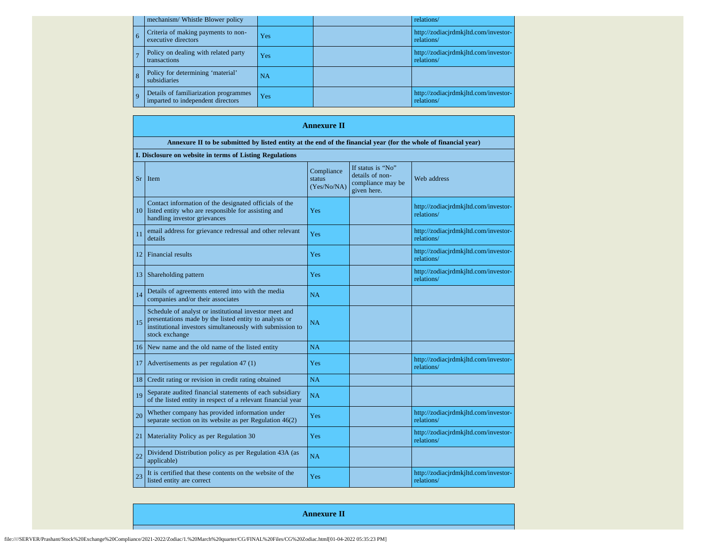|     |   | mechanism/ Whistle Blower policy                                           |           | relations/                                         |
|-----|---|----------------------------------------------------------------------------|-----------|----------------------------------------------------|
|     | 6 | Criteria of making payments to non-<br>executive directors                 | Yes       | http://zodiacjrdmkjltd.com/investor-<br>relations/ |
|     |   | Policy on dealing with related party<br>transactions                       | Yes       | http://zodiacjrdmkjltd.com/investor-<br>relations/ |
|     |   | Policy for determining 'material'<br>subsidiaries                          | <b>NA</b> |                                                    |
| l q |   | Details of familiarization programmes<br>imparted to independent directors | Yes       | http://zodiacjrdmkjltd.com/investor-<br>relations/ |

|     | <b>Annexure II</b>                                                                                                                                                                              |                                     |                                                                          |                                                    |  |  |
|-----|-------------------------------------------------------------------------------------------------------------------------------------------------------------------------------------------------|-------------------------------------|--------------------------------------------------------------------------|----------------------------------------------------|--|--|
|     | Annexure II to be submitted by listed entity at the end of the financial year (for the whole of financial year)                                                                                 |                                     |                                                                          |                                                    |  |  |
|     | I. Disclosure on website in terms of Listing Regulations                                                                                                                                        |                                     |                                                                          |                                                    |  |  |
| Sr. | Item                                                                                                                                                                                            | Compliance<br>status<br>(Yes/No/NA) | If status is "No"<br>details of non-<br>compliance may be<br>given here. | Web address                                        |  |  |
| 10  | Contact information of the designated officials of the<br>listed entity who are responsible for assisting and<br>handling investor grievances                                                   | Yes                                 |                                                                          | http://zodiacjrdmkjltd.com/investor-<br>relations/ |  |  |
| 11  | email address for grievance redressal and other relevant<br>details                                                                                                                             | Yes                                 |                                                                          | http://zodiacjrdmkjltd.com/investor-<br>relations/ |  |  |
| 12  | Financial results                                                                                                                                                                               | Yes                                 |                                                                          | http://zodiacjrdmkjltd.com/investor-<br>relations/ |  |  |
| 13  | Shareholding pattern                                                                                                                                                                            | Yes                                 |                                                                          | http://zodiacjrdmkjltd.com/investor-<br>relations/ |  |  |
| 14  | Details of agreements entered into with the media<br>companies and/or their associates                                                                                                          | <b>NA</b>                           |                                                                          |                                                    |  |  |
| 15  | Schedule of analyst or institutional investor meet and<br>presentations made by the listed entity to analysts or<br>institutional investors simultaneously with submission to<br>stock exchange | NA                                  |                                                                          |                                                    |  |  |
| 16  | New name and the old name of the listed entity                                                                                                                                                  | <b>NA</b>                           |                                                                          |                                                    |  |  |
| 17  | Advertisements as per regulation 47 (1)                                                                                                                                                         | Yes                                 |                                                                          | http://zodiacjrdmkjltd.com/investor-<br>relations/ |  |  |
| 18  | Credit rating or revision in credit rating obtained                                                                                                                                             | <b>NA</b>                           |                                                                          |                                                    |  |  |
| 19  | Separate audited financial statements of each subsidiary<br>of the listed entity in respect of a relevant financial year                                                                        | <b>NA</b>                           |                                                                          |                                                    |  |  |
| 20  | Whether company has provided information under<br>separate section on its website as per Regulation $46(2)$                                                                                     | Yes                                 |                                                                          | http://zodiacjrdmkjltd.com/investor-<br>relations/ |  |  |
| 21  | Materiality Policy as per Regulation 30                                                                                                                                                         | Yes                                 |                                                                          | http://zodiacjrdmkjltd.com/investor-<br>relations/ |  |  |
| 22  | Dividend Distribution policy as per Regulation 43A (as<br>applicable)                                                                                                                           | NA                                  |                                                                          |                                                    |  |  |
| 23  | It is certified that these contents on the website of the<br>listed entity are correct                                                                                                          | Yes                                 |                                                                          | http://zodiacjrdmkjltd.com/investor-<br>relations/ |  |  |

**Annexure II**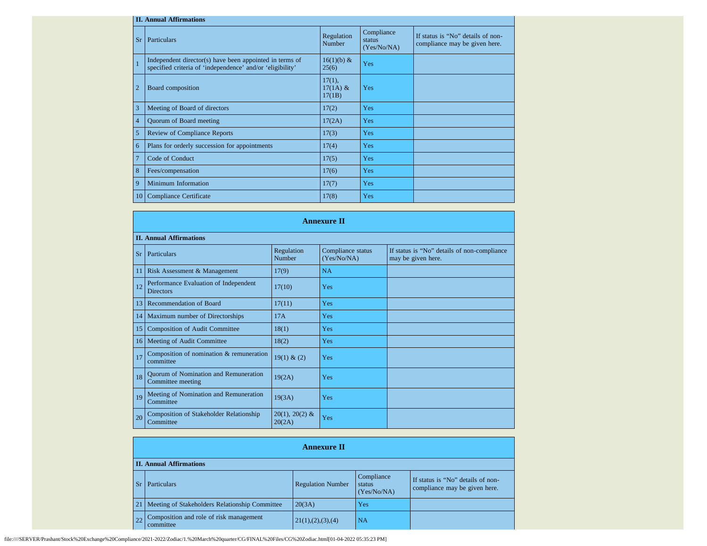|                 | <b>II. Annual Affirmations</b>                                                                                       |                                |                                     |                                                                    |  |  |
|-----------------|----------------------------------------------------------------------------------------------------------------------|--------------------------------|-------------------------------------|--------------------------------------------------------------------|--|--|
| <b>Sr</b>       | Particulars                                                                                                          | Regulation<br>Number           | Compliance<br>status<br>(Yes/No/NA) | If status is "No" details of non-<br>compliance may be given here. |  |  |
| $\overline{1}$  | Independent director(s) have been appointed in terms of<br>specified criteria of 'independence' and/or 'eligibility' | 16(1)(b) &<br>25(6)            | Yes                                 |                                                                    |  |  |
| $\overline{2}$  | Board composition                                                                                                    | 17(1),<br>$17(1A)$ &<br>17(1B) | Yes                                 |                                                                    |  |  |
| 3               | Meeting of Board of directors                                                                                        | 17(2)                          | Yes                                 |                                                                    |  |  |
| $\overline{4}$  | Quorum of Board meeting                                                                                              | 17(2A)                         | Yes                                 |                                                                    |  |  |
| 5               | <b>Review of Compliance Reports</b>                                                                                  | 17(3)                          | <b>Yes</b>                          |                                                                    |  |  |
| 6               | Plans for orderly succession for appointments                                                                        | 17(4)                          | <b>Yes</b>                          |                                                                    |  |  |
| $\overline{7}$  | Code of Conduct                                                                                                      | 17(5)                          | <b>Yes</b>                          |                                                                    |  |  |
| 8               | Fees/compensation                                                                                                    | 17(6)                          | <b>Yes</b>                          |                                                                    |  |  |
| 9               | Minimum Information                                                                                                  | 17(7)                          | Yes                                 |                                                                    |  |  |
| 10 <sup>1</sup> | Compliance Certificate                                                                                               | 17(8)                          | Yes                                 |                                                                    |  |  |

|                 | <b>Annexure II</b>                                                |                            |                                  |                                                                   |  |  |
|-----------------|-------------------------------------------------------------------|----------------------------|----------------------------------|-------------------------------------------------------------------|--|--|
|                 | <b>II. Annual Affirmations</b>                                    |                            |                                  |                                                                   |  |  |
| <b>Sr</b>       | Particulars                                                       | Regulation<br>Number       | Compliance status<br>(Yes/No/NA) | If status is "No" details of non-compliance<br>may be given here. |  |  |
| -11             | Risk Assessment & Management                                      | 17(9)                      | <b>NA</b>                        |                                                                   |  |  |
| 12              | Performance Evaluation of Independent<br><b>Directors</b>         | 17(10)                     | Yes                              |                                                                   |  |  |
| 13              | Recommendation of Board                                           | 17(11)                     | Yes                              |                                                                   |  |  |
| 14              | Maximum number of Directorships                                   | 17A                        | Yes                              |                                                                   |  |  |
| 15              | <b>Composition of Audit Committee</b>                             | 18(1)                      | Yes                              |                                                                   |  |  |
| 16 <sup>1</sup> | Meeting of Audit Committee                                        | 18(2)                      | Yes                              |                                                                   |  |  |
| 17              | Composition of nomination & remuneration<br>committee             | 19(1) & (2)                | Yes                              |                                                                   |  |  |
| 18              | <b>Quorum of Nomination and Remuneration</b><br>Committee meeting | 19(2A)                     | Yes                              |                                                                   |  |  |
| 19              | Meeting of Nomination and Remuneration<br>Committee               | 19(3A)                     | Yes                              |                                                                   |  |  |
| 20              | Composition of Stakeholder Relationship<br>Committee              | $20(1), 20(2)$ &<br>20(2A) | Yes                              |                                                                   |  |  |

|       | <b>Annexure II</b>                                   |                          |                                     |                                                                    |  |  |
|-------|------------------------------------------------------|--------------------------|-------------------------------------|--------------------------------------------------------------------|--|--|
|       | <b>II. Annual Affirmations</b>                       |                          |                                     |                                                                    |  |  |
| $S_r$ | <b>Particulars</b>                                   | <b>Regulation Number</b> | Compliance<br>status<br>(Yes/No/NA) | If status is "No" details of non-<br>compliance may be given here. |  |  |
| 21    | Meeting of Stakeholders Relationship Committee       | 20(3A)                   | Yes                                 |                                                                    |  |  |
| 22    | Composition and role of risk management<br>committee | 21(1), (2), (3), (4)     | <b>NA</b>                           |                                                                    |  |  |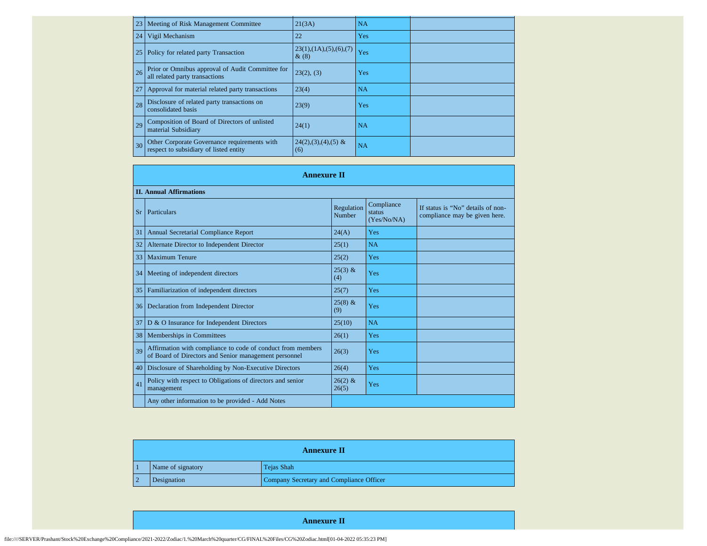| 23 | Meeting of Risk Management Committee                                                   | 21(3A)                             | <b>NA</b> |  |
|----|----------------------------------------------------------------------------------------|------------------------------------|-----------|--|
| 24 | Vigil Mechanism                                                                        | 22                                 | Yes       |  |
| 25 | Policy for related party Transaction                                                   | 23(1), (1A), (5), (6), (7)<br>&(8) | Yes       |  |
| 26 | Prior or Omnibus approval of Audit Committee for<br>all related party transactions     | 23(2), (3)                         | Yes       |  |
| 27 | Approval for material related party transactions                                       | 23(4)                              | <b>NA</b> |  |
| 28 | Disclosure of related party transactions on<br>consolidated basis                      | 23(9)                              | Yes       |  |
| 29 | Composition of Board of Directors of unlisted<br>material Subsidiary                   | 24(1)                              | <b>NA</b> |  |
| 30 | Other Corporate Governance requirements with<br>respect to subsidiary of listed entity | $24(2),(3),(4),(5)$ &<br>(6)       | NA        |  |

|           | <b>Annexure II</b>                                                                                                   |                      |                                     |                                                                    |
|-----------|----------------------------------------------------------------------------------------------------------------------|----------------------|-------------------------------------|--------------------------------------------------------------------|
|           | <b>II. Annual Affirmations</b>                                                                                       |                      |                                     |                                                                    |
| <b>Sr</b> | Particulars                                                                                                          | Regulation<br>Number | Compliance<br>status<br>(Yes/No/NA) | If status is "No" details of non-<br>compliance may be given here. |
| 31        | Annual Secretarial Compliance Report                                                                                 | 24(A)                | Yes                                 |                                                                    |
| 32        | Alternate Director to Independent Director                                                                           | 25(1)                | <b>NA</b>                           |                                                                    |
| 33        | <b>Maximum Tenure</b>                                                                                                | 25(2)                | Yes                                 |                                                                    |
|           | 34 Meeting of independent directors                                                                                  | $25(3)$ &<br>(4)     | Yes                                 |                                                                    |
| 35        | Familiarization of independent directors                                                                             | 25(7)                | Yes                                 |                                                                    |
| 36        | Declaration from Independent Director                                                                                | $25(8)$ &<br>(9)     | Yes                                 |                                                                    |
| 37        | D & O Insurance for Independent Directors                                                                            | 25(10)               | <b>NA</b>                           |                                                                    |
| 38        | Memberships in Committees                                                                                            | 26(1)                | Yes                                 |                                                                    |
| 39        | Affirmation with compliance to code of conduct from members<br>of Board of Directors and Senior management personnel | 26(3)                | Yes                                 |                                                                    |
| 40        | Disclosure of Shareholding by Non-Executive Directors                                                                | 26(4)                | Yes                                 |                                                                    |
| 41        | Policy with respect to Obligations of directors and senior<br>management                                             | $26(2)$ &<br>26(5)   | Yes                                 |                                                                    |
|           | Any other information to be provided - Add Notes                                                                     |                      |                                     |                                                                    |

| <b>Annexure II</b> |                   |                                          |  |  |
|--------------------|-------------------|------------------------------------------|--|--|
|                    | Name of signatory | Tejas Shah                               |  |  |
|                    | Designation       | Company Secretary and Compliance Officer |  |  |

**Annexure II**